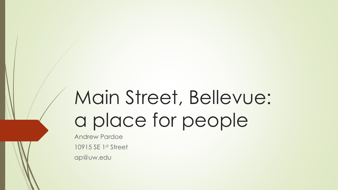# Main Street, Bellevue: a place for people

Andrew Pardoe 10915 SE 1st Street ap@uw.edu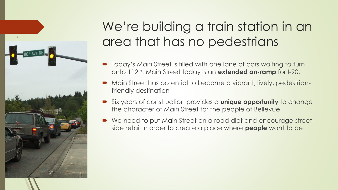

## We're building a train station in an area that has no pedestrians

- $\blacksquare$  Today's Main Street is filled with one lane of cars waiting to turn onto 112<sup>th</sup>. Main Street today is an **extended on-ramp** for I-90.
- Main Street has potential to become a vibrant, lively, pedestrianfriendly destination
- Six years of construction provides a **unique opportunity** to change the character of Main Street for the people of Bellevue
- We need to put Main Street on a road diet and encourage streetside retail in order to create a place where **people** want to be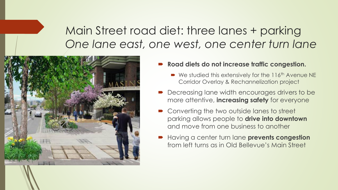#### Main Street road diet: three lanes + parking *One lane east, one west, one center turn lane*



- Road diets do not increase traffic congestion.
	- $\blacktriangleright$  We studied this extensively for the 116<sup>th</sup> Avenue NE Corridor Overlay & Rechannelization project
- **Decreasing lane width encourages drivers to be** more attentive, **increasing safety** for everyone
- Converting the two outside lanes to street parking allows people to **drive into downtown**  and move from one business to another
- Having a center turn lane **prevents congestion**  from left turns as in Old Bellevue's Main Street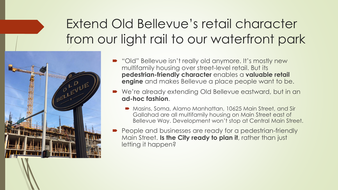### Extend Old Bellevue's retail character from our light rail to our waterfront park



- "Old" Bellevue isn't really old anymore. It's mostly new multifamily housing over street-level retail. But its **pedestrian-friendly character** enables a **valuable retail engine** and makes Bellevue a place people want to be.
- We're already extending Old Bellevue eastward, but in an **ad-hoc fashion**.
	- **Masins, Soma, Alamo Manhattan, 10625 Main Street, and Sir** Gallahad are all multifamily housing on Main Street east of Bellevue Way. Development won't stop at Central Main Street.
- **People and businesses are ready for a pedestrian-friendly** Main Street. **Is the City ready to plan it**, rather than just letting it happen?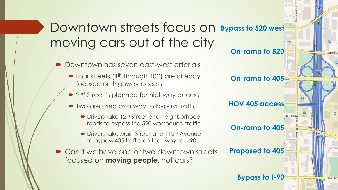### Downtown streets focus on **Bypass to 520 west** moving cars out of the city

- Downtown has seven east-west arterials
	- $\blacktriangleright$  Four streets (4<sup>th</sup> through 10<sup>th</sup>) are already focused on highway access
	- 2<sup>nd</sup> Street is planned for highway access
	- Two are used as a way to bypass traffic
		- Drivers take 12<sup>th</sup> Street and neighborhood roads to bypass the 520 westbound traffic
		- **Drivers take Main Street and 112<sup>th</sup> Avenue** to bypass 405 traffic on their way to I-90
- Can't we have one or two downtown streets focused on **moving people**, not cars?